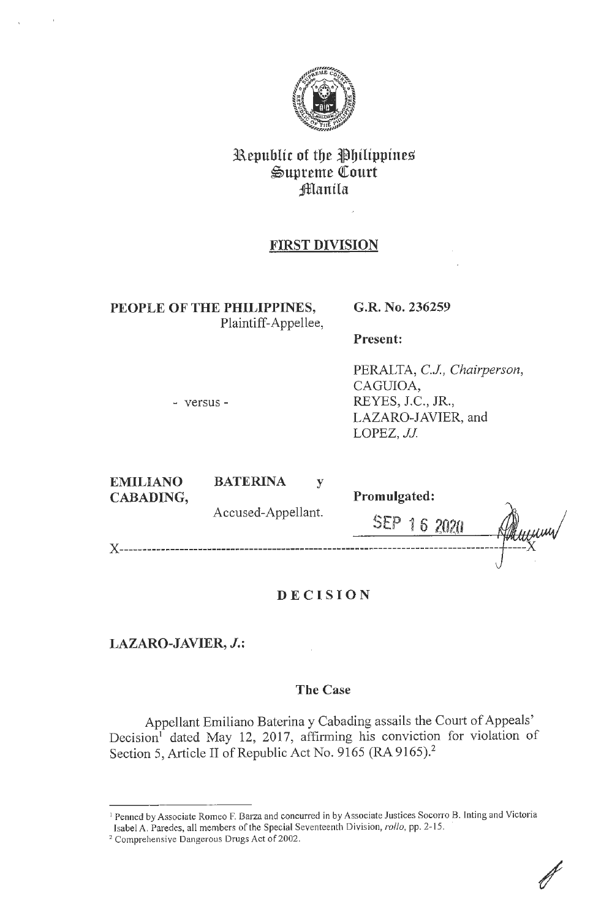

# **3B.epublic of tbe flbilippine%**   $\mathfrak{Supreme}$  Court *<u>Hanila</u>*

# **FIRST DIVISION**

**PEOPLE OF THE PHILIPPINES,**  Plaintiff-Appellee,

## **G.R. No. 236259**

**Present:** 

- versus -

PERALTA, C.J., Chairperson, CAGUIOA, REYES, J.C., JR., LAZARO-JAVIER, and LOPEZ, JJ

| <b>EMILIANO</b> | <b>BATERINA</b>    |                     |  |
|-----------------|--------------------|---------------------|--|
| CABADING,       |                    | <b>Promulgated:</b> |  |
|                 | Accused-Appellant. | $SEP$ .<br>16       |  |
|                 |                    |                     |  |

# **DECISION**

**LAZARO-JAVIER,** *J.:* 

## **The Case**

Appellant Emiliano Baterina y Cabading assails the Court of Appeals' Decision<sup>1</sup> dated May 12, 2017, affirming his conviction for violation of Section 5, Article II of Republic Act No. 9165 (RA 9165).<sup>2</sup>

<sup>&</sup>lt;sup>1</sup> Penned by Associate Romeo F. Barza and concurred in by Associate Justices Socorro B. Inting and Victoria Isabel A. Paredes, all members of the Special Seventeenth Division, *rollo*, pp. 2-15.<br><sup>2</sup> Comprehensive Dangerous Drugs Act of 2002.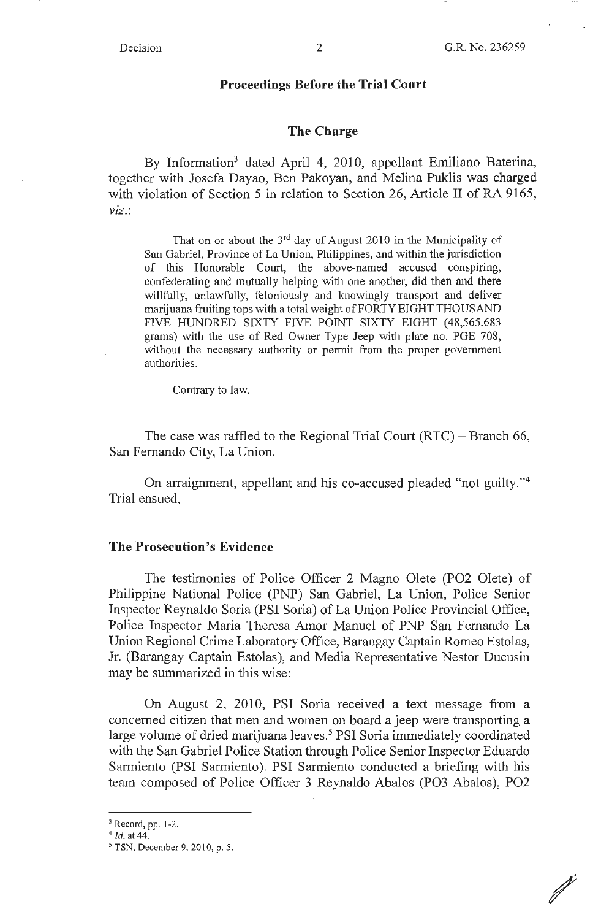/

#### **Proceedings Before the Trial Court**

#### **The Charge**

By Information<sup>3</sup> dated April 4, 2010, appellant Emiliano Baterina, together with Josefa Dayao, Ben Pakoyan, and Melina Puklis was charged with violation of Section 5 in relation to Section 26, Article II of RA 9165, *viz.:* 

That on or about the  $3<sup>rd</sup>$  day of August 2010 in the Municipality of San Gabriel, Province of La Union, Philippines, and within the jurisdiction of this Honorable Court, the above-named accused conspiring, confederating and mutually helping with one another, did then and there willfully, unlawfully, feloniously and knowingly transport and deliver marijuana fruiting tops with a total weight of FORTY EIGHT THOUSAND FIVE HUNDRED SIXTY FIVE POINT SIXTY EIGHT (48,565.683 grams) with the use of Red Owner Type Jeep with plate no. PGE 708, without the necessary authority or permit from the proper government authorities.

Contrary to law.

The case was raffled to the Regional Trial Court  $(RTC)$  – Branch 66, San Fernando City, La Union.

On arraignment, appellant and his co-accused pleaded "not guilty."4 Trial ensued.

#### **The Prosecution's Evidence**

The testimonies of Police Officer 2 Magno Olete (PO2 Olete) of Philippine National Police (PNP) San Gabriel, La Union, Police Senior Inspector Reynaldo Soria **(PSI** Soria) of La Union Police Provincial Office, Police Inspector Maria Theresa Amor Manuel of PNP San Fernando La Union Regional Crime Laboratory Office, Barangay Captain Romeo Estolas, Jr. (Barangay Captain Estolas), and Media Representative Nestor Ducusin may be summarized in this wise:

On August 2, 2010, PSI Soria received a text message from a concerned citizen that men and women on board a jeep were transporting a large volume of dried marijuana leaves.<sup>5</sup> PSI Soria immediately coordinated with the San Gabriel Police Station through Police Senior Inspector Eduardo Sarmiento (PSI Sarmiento). PSI Sarmiento conducted a briefing with his team composed of Police Officer 3 Reynaldo Abalos (PO3 Abalos), PO2

<sup>3</sup> Record, pp. 1-2. 4 *Id.* at 44.

*<sup>5</sup>*TSN, December 9, 2010, p. 5.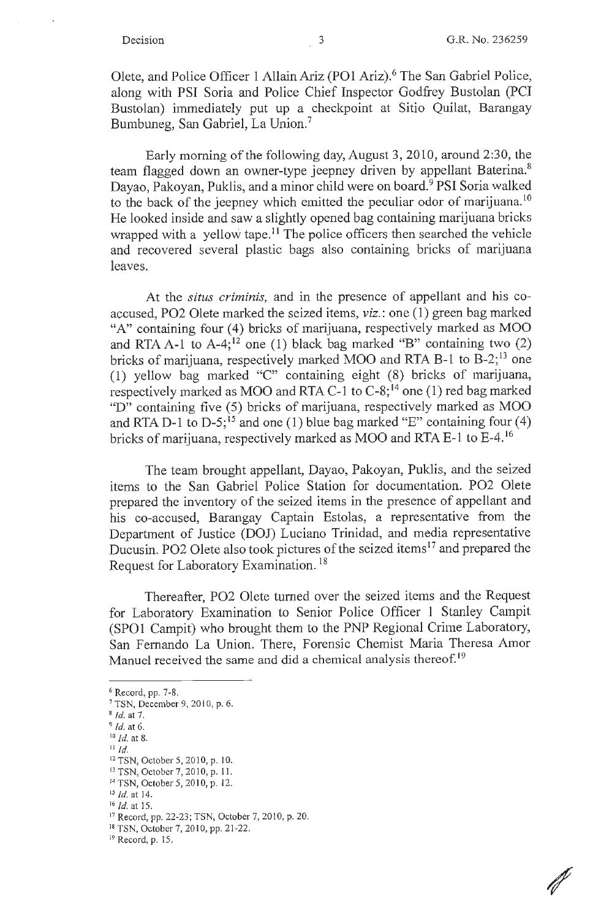$\mathscr N$ 

Olete, and Police Officer 1 Allain Ariz (PO1 Ariz).<sup>6</sup> The San Gabriel Police, along with PSI Soria and Police Chief Inspector Godfrey Bustolan (PCI Bustolan) immediately put up a checkpoint at Sitio Quilat, Barangay Bumbuneg, San Gabriel, La Union. 7

Early morning of the following day, August 3, 2010, around 2:30, the team flagged down an owner-type jeepney driven by appellant Baterina. 8 Dayao, Pakoyan, Puklis, and a minor child were on board. 9 **PSI** Soria walked to the back of the jeepney which emitted the peculiar odor of marijuana.<sup>10</sup> He looked inside and saw a slightly opened bag containing marijuana bricks wrapped with a yellow tape.<sup>11</sup> The police officers then searched the vehicle and recovered several plastic bags also containing bricks of marijuana leaves.

At the *situs criminis,* and in the presence of appellant and his coaccused, P02 Olete marked the seized items, *viz.* : one ( 1) green bag marked "A" containing four (4) bricks of marijuana, respectively marked as MOO and RTA A-1 to A-4;<sup>12</sup> one (1) black bag marked "B" containing two  $(2)$ bricks of marijuana, respectively marked MOO and RTA B-1 to  $B-2$ ;<sup>13</sup> one ( 1) yellow bag marked "C" containing eight (8) bricks of marijuana, respectively marked as MOO and RTA C-1 to  $C-8$ ;<sup>14</sup> one (1) red bag marked " $D$ " containing five (5) bricks of marijuana, respectively marked as MOO and RTA D-1 to D-5;<sup>15</sup> and one (1) blue bag marked "E" containing four (4) bricks of marijuana, respectively marked as MOO and RTA E-1 to E-4.<sup>16</sup>

The team brought appellant, Dayao, Pakoyan, Puklis, and the seized items to the San Gabriel Police Station for documentation. P02 Olete prepared the inventory of the seized items in the presence of appellant and his co-accused, Barangay Captain Estolas, a representative from the Department of Justice (DOJ) Luciano Trinidad, and media representative Ducusin. PO2 Olete also took pictures of the seized items<sup>17</sup> and prepared the Request for Laboratory Examination. <sup>18</sup>

Thereafter, P02 Olete turned over the seized items and the Request for Laboratory Examination to Senior Police Officer 1 Stanley Campit (SPOI Campit) who brought them to the PNP Regional Crime Laboratory, San Fernando La Union. There, Forensic Chemist Maria Theresa Amor Manuel received the same and did a chemical analysis thereof.<sup>19</sup>

 $6$  Record, pp. 7-8.<br>  $7$  TSN, December 9, 2010, p. 6.

II *Id.* 

<sup>8</sup>Id. at 7. 9 *Id.* at 6. 10 *id.* at 8.

<sup>12</sup> TSN, October 5, 2010, p. 10. <sup>13</sup>TSN, October 7, 20 10, p. 11.

<sup>&</sup>lt;sup>14</sup> TSN, October 5, 2010, p. 12.<br><sup>15</sup> *Id.* at 14.

<sup>&</sup>lt;sup>16</sup> *Id.* at 15.<br><sup>17</sup> Record, pp. 22-23; TSN, October 7, 2010, p. 20.<br><sup>18</sup> TSN, October 7, 2010, pp. 21-22.

<sup>19</sup>Record, p. 15.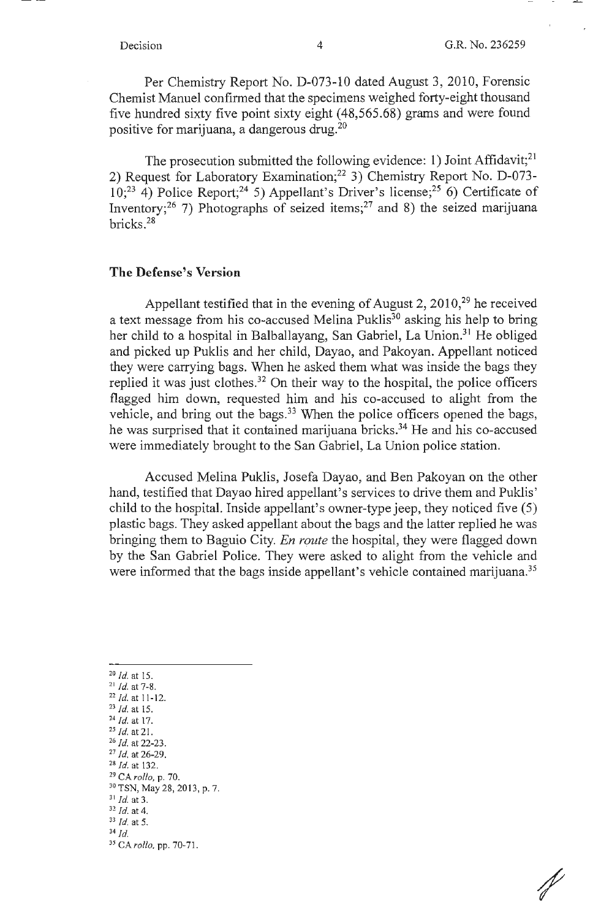Per Chemistry Report No. D-073-10 dated August 3, 2010, Forensic Chemist Manuel confirmed that the specimens weighed forty-eight thousand five hundred sixty five point sixty eight (48,565.68) grams and were found positive for marijuana, a dangerous drug.20

The prosecution submitted the following evidence: 1) Joint Affidavit;<sup>21</sup> 2) Request for Laboratory Examination;<sup>22</sup> 3) Chemistry Report No. D-073- $10$ ;<sup>23</sup> 4) Police Report;<sup>24</sup> 5) Appellant's Driver's license;<sup>25</sup> 6) Certificate of Inventory;<sup>26</sup> 7) Photographs of seized items;<sup>27</sup> and 8) the seized marijuana bricks. 28

### **The Defense's Version**

Appellant testified that in the evening of August 2,  $2010<sup>29</sup>$  he received a text message from his co-accused Melina Puklis<sup>30</sup> asking his help to bring her child to a hospital in Balballayang, San Gabriel, La Union.<sup>31</sup> He obliged and picked up Puklis and her child, Dayao, and Pakoyan. Appellant noticed they were carrying bags. When he asked them what was inside the bags they replied it was just clothes.<sup>32</sup> On their way to the hospital, the police officers flagged him down, requested him and his co-accused to alight from the vehicle, and bring out the bags.<sup>33</sup> When the police officers opened the bags, he was surprised that it contained marijuana bricks.<sup>34</sup> He and his co-accused were immediately brought to the San Gabriel, La Union police station.

Accused Melina Puklis, Josefa Dayao, and Ben Pakoyan on the other hand, testified that Dayao hired appellant's services to drive them and Puklis' child to the hospital. Inside appellant's owner-type jeep, they noticed five (5) plastic bags. They asked appellant about the bags and the latter replied he was bringing them to Baguio City. *En route* the hospital, they were flagged down by the San Gabriel Police. They were asked to alight from the vehicle and were informed that the bags inside appellant's vehicle contained marijuana.<sup>35</sup>

- 20 *Id.* at 15.
- 21 *Id.* at 7-8.
- $22$  *Id.* at 11-12.
- <sup>23</sup>*Id.* at 15.
- <sup>24</sup>*Id.* at 17. 25 *Id.* at 21.
- <sup>26</sup>*Id.* at 22-23.
- <sup>27</sup>*Id.* at 26-29. 28 *Id.* at 132.
- 
- <sup>29</sup>CA *rollo,* p. 70.
- $30$  TSN, May 28, 2013, p. 7.<br> $31$  *Id.* at 3.
- 
- <sup>31</sup>*Id.* at 3. 32 *Id.* at 4. 33 *Id.* at 5.

<sup>35</sup>CA *rollo,* pp. 70-71.

<sup>34</sup> *Id.*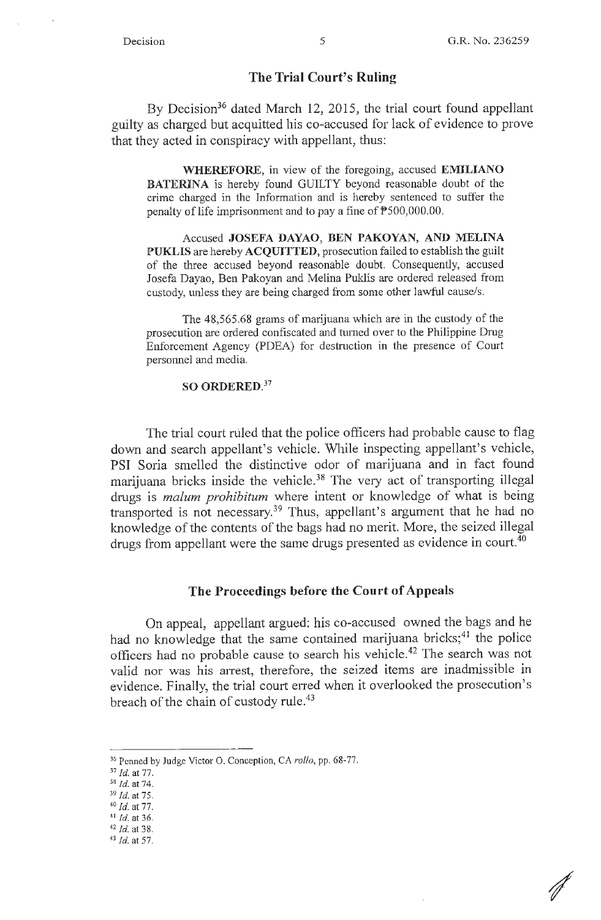#### **The Trial Court's Ruling**

By Decision<sup>36</sup> dated March 12, 2015, the trial court found appellant guilty as charged but acquitted his co-accused for lack of evidence to prove that they acted in conspiracy with appellant, thus:

**WHEREFORE,** in view of the foregoing, accused **EMILIANO BATERINA** is hereby found GUILTY beyond reasonable doubt of the crime charged in the Information and is hereby sentenced to suffer the penalty of life imprisonment and to pay a fine of  $P$ 500,000.00.

Accused **JOSEFA DAYAO, BEN PAKOYAN, AND MELINA PUKLIS** are hereby **ACQUITTED,** prosecution failed to establish the guilt of the three accused beyond reasonable doubt. Consequently, accused Josefa Dayao, Ben Pakoyan and Melina Puklis are ordered released from custody, unless they are being charged from some other lawful cause/s.

The 48,565.68 grams of marijuana which are in the custody of the prosecution are ordered confiscated and turned over to the Philippine Drug Enforcement Agency (PDEA) for destruction in the presence of Court personnel and media.

#### **SO ORDERED.<sup>37</sup>**

The trial court ruled that the police officers had probable cause to flag down and search appellant's vehicle. While inspecting appellant's vehicle, PSI Soria smelled the distinctive odor of marijuana and in fact found marijuana bricks inside the vehicle.<sup>38</sup> The very act of transporting illegal drugs is *malum prohibitum* where intent or knowledge of what is being transported is not necessary.<sup>39</sup> Thus, appellant's argument that he had no knowledge of the contents of the bags had no merit. More, the seized illegal drugs from appellant were the same drugs presented as evidence in court.<sup>40</sup>

#### **The Proceedings before the Court of Appeals**

On appeal, appellant argued: his co-accused owned the bags and he had no knowledge that the same contained marijuana bricks;<sup>41</sup> the police officers had no probable cause to search his vehicle.42 The search was not valid nor was his arrest, therefore, the seized items are inadmissible in evidence. Finally, the trial court erred when it overlooked the prosecution's breach of the chain of custody rule.<sup>43</sup>

<sup>&</sup>lt;sup>36</sup> Penned by Judge Victor O. Conception, CA *rollo*, pp. 68-77.<br><sup>37</sup> Id. at 77.

<sup>37</sup>*Id.* at 77. 38 *Id.* at 74. 39 *Id.* at 75. 40 *Id.* at 77.

 $41$  *Id.* at 36.

<sup>42</sup>*Id.* at 38. 43 *Id.* at 57.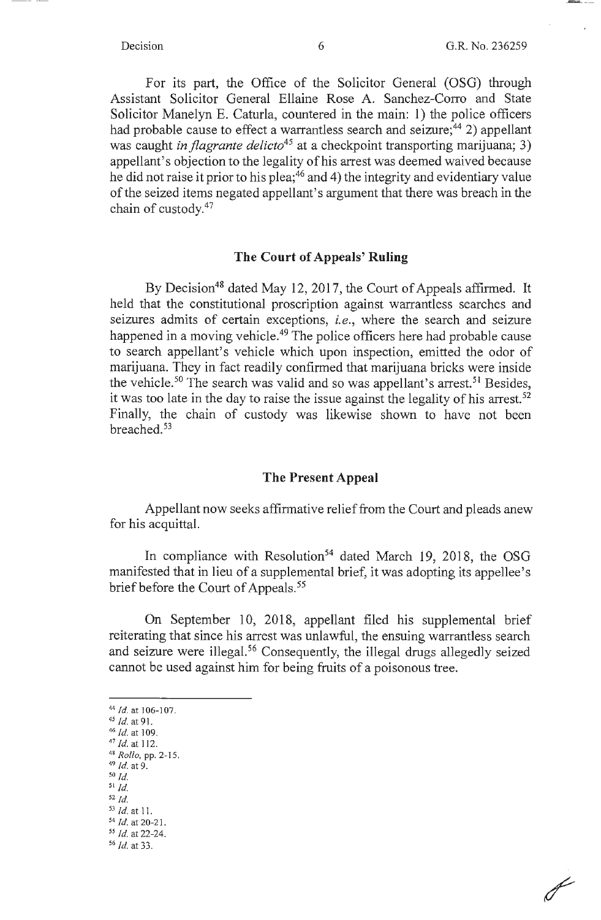$\overline{\mathscr{J}}$ 

For its part, the Office of the Solicitor General (OSG) through Assistant Solicitor General Ellaine Rose A. Sanchez-Corro and State Solicitor Manelyn E. Caturla, countered in the main: 1) the police officers had probable cause to effect a warrantless search and seizure;<sup>44</sup> 2) appellant was caught *in flagrante delicto*<sup>45</sup> at a checkpoint transporting marijuana; 3) appellant's objection to the legality of his arrest was deemed waived because he did not raise it prior to his plea;<sup>46</sup> and 4) the integrity and evidentiary value of the seized items negated appellant's argument that there was breach in the chain of custody. 47

#### **The Court of Appeals' Ruling**

By Decision<sup>48</sup> dated May 12, 2017, the Court of Appeals affirmed. It held that the constitutional proscription against warrantless searches and seizures admits of certain exceptions, *i.e.,* where the search and seizure happened in a moving vehicle.<sup>49</sup> The police officers here had probable cause to search appellant's vehicle which upon inspection, emitted the odor of marijuana. They in fact readily confirmed that marijuana bricks were inside the vehicle.<sup>50</sup> The search was valid and so was appellant's arrest.<sup>51</sup> Besides, it was too late in the day to raise the issue against the legality of his arrest.<sup>52</sup> Finally, the chain of custody was likewise shown to have not been breached. 53

#### **The Present Appeal**

Appellant now seeks affirmative relief from the Court and pleads anew for his acquittal.

In compliance with Resolution<sup>54</sup> dated March 19, 2018, the OSG manifested that in lieu of a supplemental brief, it was adopting its appellee's brief before the Court of Appeals.<sup>55</sup>

On September 10, 2018, appellant filed his supplemental brief reiterating that since his arrest was unlawful, the ensuing warrantless search and seizure were illegal.<sup>56</sup> Consequently, the illegal drugs allegedly seized cannot be used against him for being fruits of a poisonous tree.

- 
- <sup>47</sup> /d.at 112. 48 *Rollo,* pp. 2- 15. 49 *Id.* at 9.
- *50 Id.*
- $51$   $\overline{Id}$ .
- 52 *Id.*
- 
- <sup>53</sup>*Id.* at 11. 54 *Id.* at 20-2 J.
- *55 Id.* at 22-24.
- <sup>56</sup>*Id.* at 33.

<sup>44</sup>*Id.* at 106-107. *45 Id.* at 91.

 $^{46}$  *Id.* at 109.<br> $^{47}$  *Id.* at 112.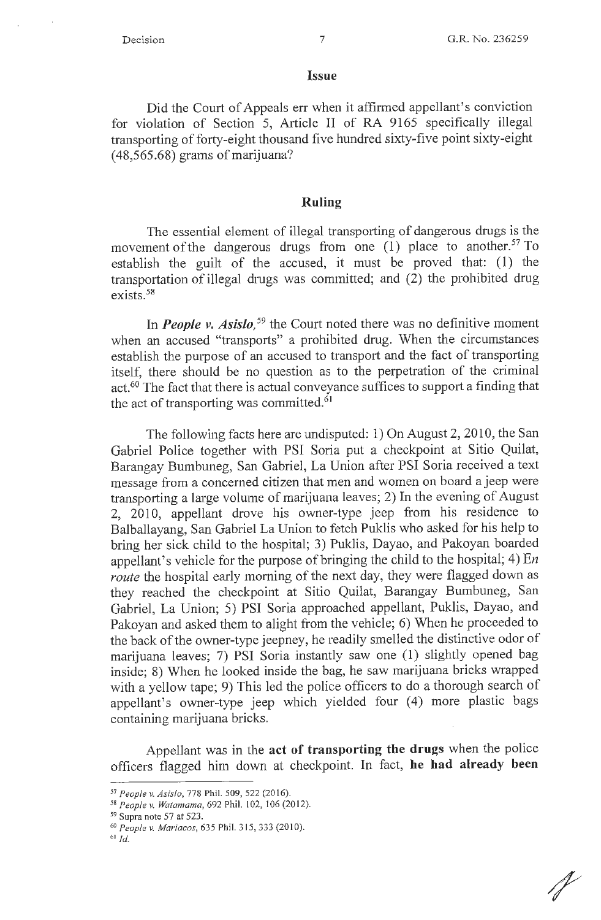#### **Issue**

**Did** the Court of Appeals err when it affirmed appellant's conviction for violation of Section 5, Article II of RA 9165 specifically illegal transporting of forty-eight thousand five hundred sixty-five point sixty-eight (48,565.68) grams of marijuana?

#### **Ruling**

The essential element of illegal transporting of dangerous drugs is the movement of the dangerous drugs from one  $(1)$  place to another.<sup>57</sup> To establish the guilt of the accused, it must be proved that: (1) the transportation of illegal drugs was committed; and (2) the prohibited drug exists. 58

In *People v. Asislo*,<sup>59</sup> the Court noted there was no definitive moment when an accused "transports" a prohibited drug. When the circumstances establish the purpose of an accused to transport and the fact of transporting itself, there should be no question as to the perpetration of the criminal act.<sup>60</sup> The fact that there is actual conveyance suffices to support a finding that the act of transporting was committed. 61

The following facts here are undisputed: 1) On August 2, 2010, the San Gabriel Police together with PSI Soria put a checkpoint at Sitio Quilat, Barangay Bumbuneg, San Gabriel, La Union after PSI Soria received a text message from a concerned citizen that men and women on board a jeep were transporting a large volume of marijuana leaves; 2) In the evening of August 2, 2010, appellant drove his owner-type jeep from his residence to Balballayang, San Gabriel La Union to fetch Puklis who asked for his help to bring her sick child to the hospital; 3) Puklis, Dayao, and Pakoyan boarded appellant's vehicle for the purpose of bringing the child to the hospital; 4) En *route* the hospital early morning of the next day, they were flagged down as they reached the checkpoint at Sitio Quilat, Barangay Bumbuneg, San Gabriel, La Union; 5) PSI Soria approached appellant, Puklis, Dayao, and Pakoyan and asked them to alight from the vehicle; 6) When he proceeded to the back of the owner-type jeepney, he readily smelled the distinctive odor of marijuana leaves; 7) PSI Soria instantly saw one (1) slightly opened bag inside; 8) When he looked inside the bag, he saw marijuana bricks wrapped with a yellow tape; 9) This led the police officers to do a thorough search of appellant's owner-type jeep which yielded four (4) more plastic bags containing marijuana bricks.

Appellant was in the **act of transporting the drugs** when the police officers flagged him down at checkpoint. In fact, **he had already been** 

<sup>57</sup>*Peoplev. Asislo,* 778 Phil. 509, 522 (2016). 58 *People v. Watamama,* 692 Phil. I 02, 106(2012).

<sup>&</sup>lt;sup>59</sup> Supra note 57 at 523.<br><sup>60</sup> *People v. Mariacos*, 635 Phil. 315, 333 (2010).

 $61$   $1d$ .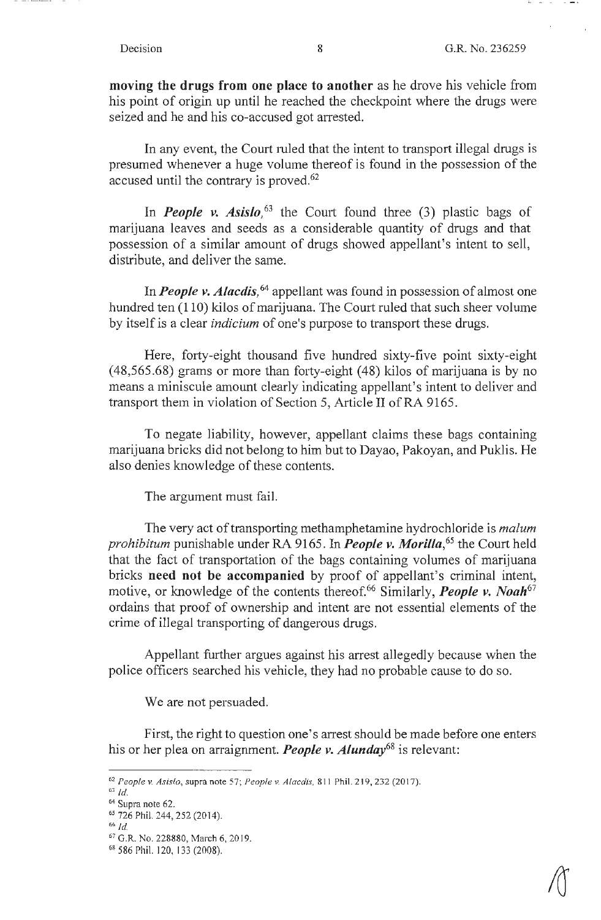$\sim$  1000  $\pm$ 

**moving the drugs from one place to another** as he drove his vehicle from his point of origin up until he reached the checkpoint where the drugs were seized and he and his co-accused got arrested.

In any event, the Court ruled that the intent to transport illegal drugs is presumed whenever a huge volume thereof is found in the possession of the accused until the contrary is proved. 62

In *People v. Asislo*,<sup>63</sup> the Court found three (3) plastic bags of marijuana leaves and seeds as a considerable quantity of drugs and that possession of a similar amount of drugs showed appellant's intent to sell, distribute, and deliver the same.

In *People v. Alacdis,* 64 appellant was found in possession of almost one hundred ten (110) kilos of marijuana. The Court ruled that such sheer volume by itself is a clear *indicium* of one's purpose to transport these drugs.

Here, forty-eight thousand five hundred sixty-five point sixty-eight (48,565.68) grams or more than forty-eight ( 48) kilos of marijuana is by no means a miniscule amount clearly indicating appellant's intent to deliver and transport them in violation of Section 5, Article II of RA 9165.

To negate liability, however, appellant claims these bags containing marijuana bricks did not belong to him but to Dayao, Pakoyan, and Puklis. He also denies knowledge of these contents.

The argument must fail.

The very act of transporting methamphetamine hydrochloride is *malum prohibitum* punishable under RA 9165. In *People v. Morilla,65* the Court held that the fact of transportation of the bags containing volumes of marijuana bricks **need not be accompanied** by proof of appellant's criminal intent, motive, or knowledge of the contents thereof.<sup>66</sup> Similarly, *People v. Noah*<sup>67</sup> ordains that proof of ownership and intent are not essential elements of the crime of illegal transporting of dangerous drugs.

Appellant further argues against his arrest allegedly because when the police officers searched his vehicle, they had no probable cause to do so.

We are not persuaded.

First, the right to question one's arrest should be made before one enters his or her plea on arraignment. *People v. Alunday68* is relevant:

<sup>62</sup>*People v. Asislo,* supra note 57; *People v. A lace/is,* 8 11 Phil. 219, 232 (2017).

 $63$  Id.

 $64$  Supra note 62.<br>  $65$  726 Phil. 244, 252 (2014).<br>  $66$  Id.

<sup>&</sup>lt;sup>67</sup> G.R. No. 228880, March 6, 2019.

<sup>68 586</sup> Phil. 120, 133 (2008).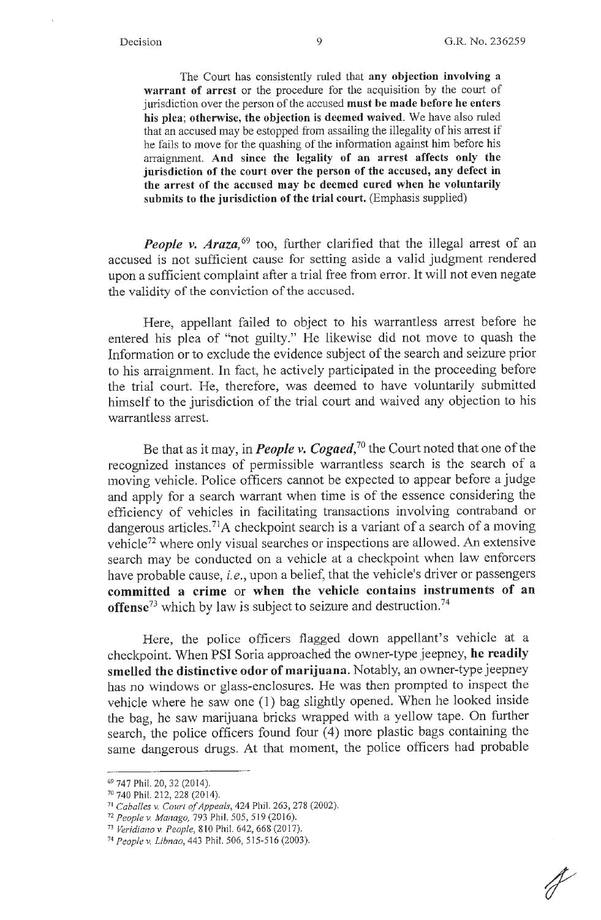The Court has consistently ruled that **any objection involving a warrant of arrest** or the procedure for the acquisition by the court of jurisdiction over the person of the accused **must be made before he enters his plea; otherwise, the objection is deemed waived.** We have also ruled that an accused may be estopped from assailing the illegality of his arrest if he fails to move for the quashing of the infonnation against him before his anaignment. **And since the legality of an arrest affects only the jurisdiction of the court over the person of the accused, any defect in the arrest of the accused may be deemed cured when he voluntarily submits to the jurisdiction of the trial court.** (Emphasis supplied)

*People v. Araza*,<sup>69</sup> too, further clarified that the illegal arrest of an accused is not sufficient cause for setting aside a valid judgment rendered upon a sufficient complaint after a trial free from error. It will not even negate the validity of the conviction of the accused.

Here, appellant failed to object to his warrantless arrest before he entered his plea of "not guilty." He likewise did not move to quash the Information or to exclude the evidence subject of the search and seizure prior to his arraignment. In fact, he actively participated in the proceeding before the trial court. He, therefore, was deemed to have voluntarily submitted himself to the jurisdiction of the trial court and waived any objection to his warrantless arrest.

Be that as it may, in *People v. Cogaed,<sup>70</sup>*the Court noted that one of the recognized instances of permissible warrantless search is the search of a moving vehicle. Police officers cannot be expected to appear before a judge and apply for a search warrant when time is of the essence considering the efficiency of vehicles in facilitating transactions involving contraband or dangerous articles.<sup>71</sup>A checkpoint search is a variant of a search of a moving vehicle72 where only visual searches or inspections are allowed. An extensive search may be conducted on a vehicle at a checkpoint when law enforcers have probable cause, *i.e.,* upon a belief, that the vehicle's driver or passengers **committed a crime** or **when the vehicle contains instruments of an offense73** which by law is subject to seizure and destruction.<sup>74</sup>

Here, the police officers flagged down appellant's vehicle at a checkpoint. When PSI Soria approached the owner-type jeepney, **he readily smelled the distinctive odor of marijuana.** Notably, an owner-type jeepney has no windows or glass-enclosures. He was then prompted to inspect the vehicle where he saw one (1) bag slightly opened. When he looked inside the bag, he saw marijuana bricks wrapped with a yellow tape. On further search, the police officers found four (4) more plastic bags containing the same dangerous drugs. At that moment, the police officers had probable

<sup>&</sup>lt;sup>69</sup> 747 Phil. 20, 32 (2014).<br><sup>70</sup> 740 Phil. 212, 228 (2014).

<sup>&</sup>lt;sup>71</sup> Caballes v. Court of Appeals, 424 Phil. 263, 278 (2002).<br><sup>72</sup> People v. Manago, 793 Phil. 505, 519 (2016).<br><sup>73</sup> Veridiano v. People, 810 Phil. 642, 668 (2017).<br><sup>74</sup> People v. Libnao, 443 Phil. 506, 515-516 (2003).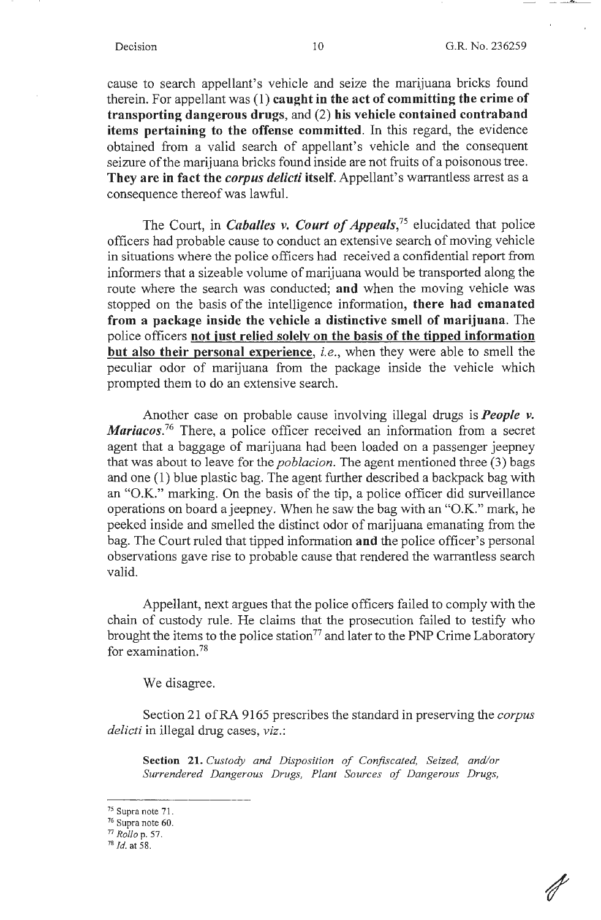cause to search appellant's vehicle and seize the marijuana bricks found therein. For appellant was (1) **caught in the act of committing the crime of transporting dangerous drugs,** and (2) **his vehicle contained contraband items pertaining to the offense committed.** In this regard, the evidence obtained from a valid search of appellant's vehicle and the consequent seizure of the marijuana bricks found inside are not fruits of a poisonous tree. **They are in fact the** *corpus delicti* **itself.** Appellant's warrantless arrest as a consequence thereof was lawful.

The Court, in *Caballes v. Court of Appeals,75* elucidated that police officers had probable cause to conduct an extensive search of moving vehicle in situations where the police officers had received a confidential report from informers that a sizeable volume of marijuana would be transported along the route where the search was conducted; **and** when the moving vehicle was stopped on the basis of the intelligence information, **there had emanated from a package inside the vehicle a distinctive smell of marijuana.** The police officers **not iust relied solely on the basis of the tipped information but also their personal experience,** *i.e.,* when they were able to smell the peculiar odor of marijuana from the package inside the vehicle which prompted them to do an extensive search.

Another case on probable cause involving illegal drugs is *People v. Mariacos.*<sup>76</sup> There, a police officer received an information from a secret agent that a baggage of marijuana had been loaded on a passenger jeepney that was about to leave for the *poblacion.* The agent mentioned three (3) bags and one (1) blue plastic bag. The agent further described a backpack bag with an "O.K." marking. On the basis of the tip, a police officer did surveillance operations on board ajeepney. When he saw the bag with an "0.K." mark, he peeked inside and smelled the distinct odor of marijuana emanating from the bag. The Court ruled that tipped information **and** the police officer's personal observations gave rise to probable cause that rendered the warrantless search valid.

Appellant, next argues that the police officers failed to comply with the chain of custody rule. He claims that the prosecution failed to testify who brought the items to the police station<sup>77</sup> and later to the PNP Crime Laboratory for examination. 78

We disagree.

Section 21 of RA 9165 prescribes the standard in preserving the *corpus delicti* in illegal drug cases, *viz.:* 

**Section 21.** *Custody and Disposition of Confiscated, Seized, and/or Surrendered Dangerous Drugs, Plant Sources of Dangerous Drugs,* 

<sup>75</sup> Supra note 71.

<sup>76</sup> Supra note 60. 77 *Rollo* p. 57. 78 *Id.* at 58.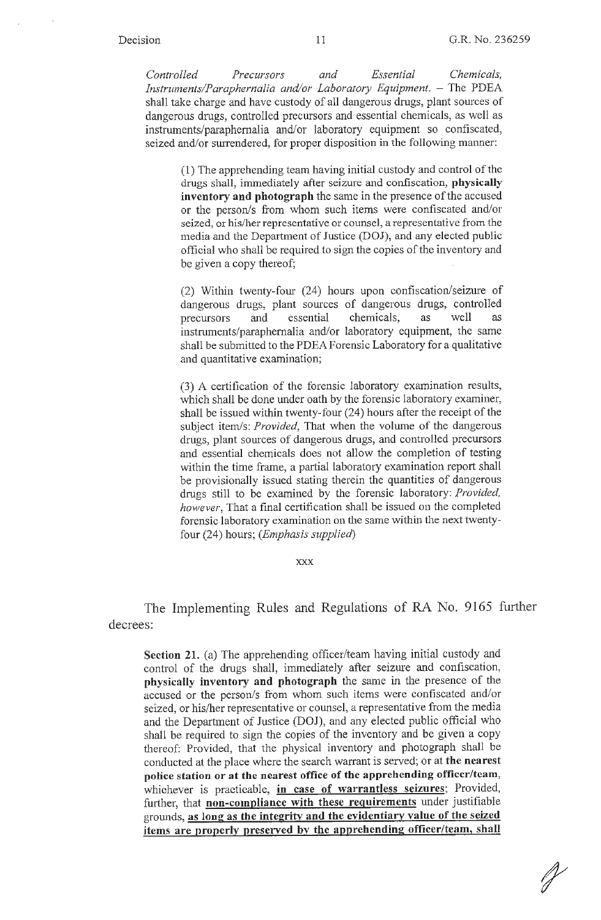*Controlled Precursors and Essential Chemicals, Instruments/Paraphernalia and/or Laboratory Equipment.* - The PDEA shall take charge and have custody of all dangerous drugs, plant sources of dangerous drugs, controlled precursors and essential chemicals, as well as instruments/paraphernalia and/or laboratory equipment so confiscated, seized and/or surrendered, for proper disposition in the following manner:

(1) The apprehending team having initial custody and control of the drugs shall, immediately after seizure and confiscation, **physically inventory and photograph** the same in the presence of the accused or the person/s from whom such items were confiscated and/or seized, or his/her representative or counsel, a representative from the media and the Department of Justice (DOJ), and any elected public official who shall be required to sign the copies of the inventory and be given a copy thereof;

(2) Within twenty-four (24) hours upon confiscation/seizme of dangerous drugs, plant sources of dangerous drugs, controlled precursors and essential chemicals, as well as instruments/paraphernalia and/or laboratory equipment, the same shall be submitted to the PDEA Forensic Laboratory for a qualitative and quantitative examination;

(3) A certification of the forensic laboratory examination results, which shall be done under oath by the forensic laboratory examiner, shall be issued within twenty-four (24) hours after the receipt of the subject item/s: *Provided,* That when the volume of the dangerous drugs, plant sources of dangerous drugs, and controlled precursors and essential chemicals does not allow the completion of testing within the time frame, a partial laboratory examination report shall be provisionally issued stating therein the quantities of dangerous drugs still to be examined by the forensic laboratory: *Provided, however,* That a final certification shall be issued on the completed forensic laboratory examination on the same within the next twentyfour (24) hours; *(Emphasis supplied)* 

**XXX** 

The Implementing Rules and Regulations of RA No. 9165 further decrees:

**Section 21.** (a) The apprehending officer/team having initial custody and control of the drugs shall, immediately after seizure and confiscation, **physically inventory and photograph** the same in the presence of the accused or the person/s from whom such items were confiscated and/or seized, or his/her representative or counsel, a representative from the media and the Department of Justice (DOJ), and any elected public official who shall be required to sign the copies of the inventory and be given a copy thereof: Provided, that the physical inventory and photograph shall be conducted at the place where the search warrant is served; or at **the nearest police station or at the nearest office of the apprehending officer/team,**  whichever is practicable, **in case of warrantless seizures;** Provided, further, that **non-compliance with these requirements** under justifiable grounds, **as long as the integrity and the evidentiary value of the seized items are properly preserved by the apprehending officer/team, shall**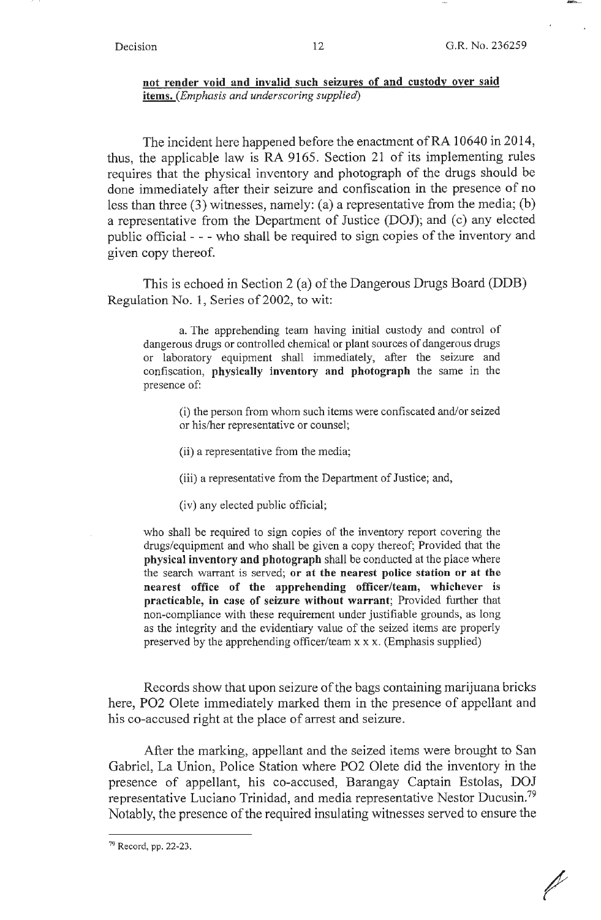$\!\!\!\!/$ 

#### **not render void and invalid such seizures of and custody over said items.** *(Emphasis and underscoring supplied)*

The incident here happened before the enactment of RA 10640 in 2014, thus, the applicable law is RA 9165. Section 21 of its implementing rules requires that the physical inventory and photograph of the drugs should be done immediately after their seizure and confiscation in the presence of no less than three (3) witnesses, namely: (a) a representative from the media; (b) a representative from the Department of Justice (DOJ); and (c) any elected public official - - - who shall be required to sign copies of the inventory and given copy thereof.

This is echoed in Section 2 (a) of the Dangerous Drugs Board (DDB) Regulation No. 1, Series of 2002, to wit:

a. The apprehending team having initial custody and control of dangerous drugs or controlled chemical or plant sources of dangerous drugs or laboratory equipment shall immediately, after the seizure and confiscation, **physically inventory and photograph** the same in the presence of:

(i) the person from whom such items were confiscated and/or seized or his/her representative or counsel;

- (ii) a representative from the media;
- (iii) a representative from the Department of Justice; and,
- (iv) any elected public official;

who shall be required to sign copies of the inventory report covering the drugs/equipment and who shall be given a copy thereof; Provided that the **physical inventory and photograph** shall be conducted at the place where the search warrant is served; **or at the nearest police station or at the nearest office of the apprehending officer/team, whichever is practicable, in case of seizure without warrant;** Provided further that non-compliance with these requirement under justifiable grounds, as long as the integrity and the evidentiary value of the seized items are properly preserved by the apprehending officer/team xx x. (Emphasis supplied)

Records show that upon seizure of the bags containing marijuana bricks here, PO2 Olete immediately marked them in the presence of appellant and his co-accused right at the place of arrest and seizure.

After the marking, appellant and the seized items were brought to San Gabriel, La Union, Police Station where PO2 Olete did the inventory in the presence of appellant, his co-accused, Barangay Captain Estolas, DOJ representative Luciano Trinidad, and media representative Nestor Ducusin.<sup>79</sup> Notably, the presence of the required insulating witnesses served to ensure the

<sup>79</sup> Record, pp. 22-23.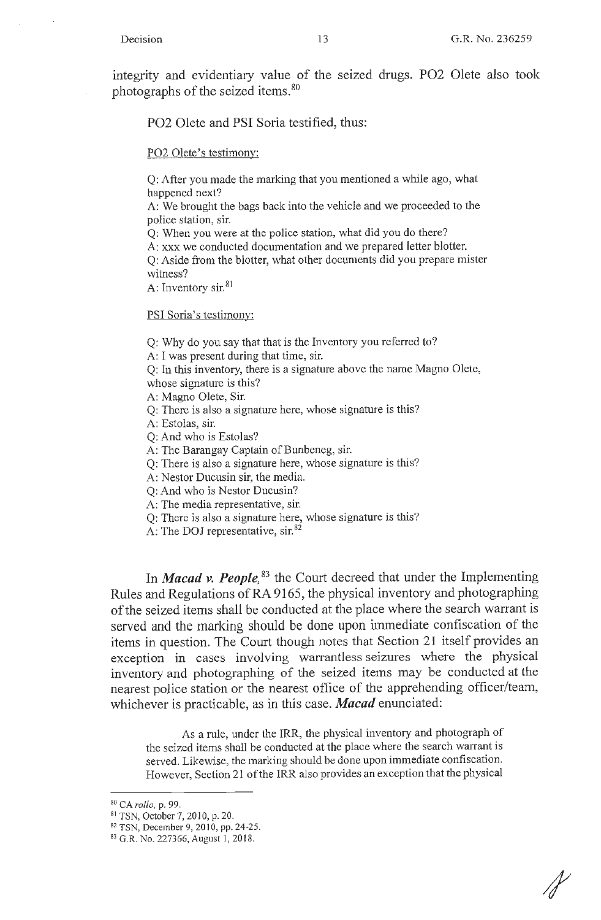integrity and evidentiary value of the seized drugs. P02 Olete also took photographs of the seized items. <sup>80</sup>

P02 Olete and PSI Soria testified, thus:

PO2 Olete's testimony:

Q: After you made the marking that you mentioned a while ago, what happened next?

A: We brought the bags back into the vehicle and we proceeded to the police station, sir.

Q: When you were at the police station, what did you do there?

A: xxx we conducted documentation and we prepared letter blotter.

Q: Aside from the blotter, what other documents did you prepare mister witness?

A: Inventory sir.<sup>81</sup>

PSI Soria's testimony:

Q: Why do you say that that is the Inventory you referred to?

A: I was present during that time, sir.

Q: **In** this inventory, there is a signature above the name Magno Olete, whose signature is this?

A: Magno Olete, Sir.

Q: There is also a signature here, whose signature is this?

A: Estolas, sir.

Q: And who is Estolas?

A: The Barangay Captain of Bunbeneg, sir.

Q: There is also a signature here, whose signature is this?

A: Nestor Ducusin sir, the media.

Q: And who is Nestor Ducusin?

A: The media representative, sir.

Q: There is also a signature here, whose signature is this?

A: The DOJ representative, sir.<sup>82</sup>

In *Macad v. People*,<sup>83</sup> the Court decreed that under the Implementing Rules and Regulations of RA 9165, the physical inventory and photographing of the seized items shall be conducted at the place where the search warrant is served and the marking should be done upon immediate confiscation of the items in question. The Court though notes that Section 21 itself provides an exception in cases involving warrantless seizures where the physical inventory and photographing of the seized items may be conducted at the nearest police station or the nearest office of the apprehending officer/team, whichever is practicable, as in this case. *Macad* enunciated:

As a rule, under the IRR, the physical inventory and photograph of the seized items shall be conducted at the place where the search warrant is served. Likewise, the marking should be done upon immediate confiscation. However, Section 21 of the IRR also provides an exception that the physical

<sup>&</sup>lt;sup>80</sup> CA rollo, p. 99.

<sup>&</sup>lt;sup>81</sup> TSN, October 7, 2010, p. 20.<br><sup>82</sup> TSN, December 9, 2010, pp. 24-25.<br><sup>83</sup> G.R. No. 227366, August 1, 2018.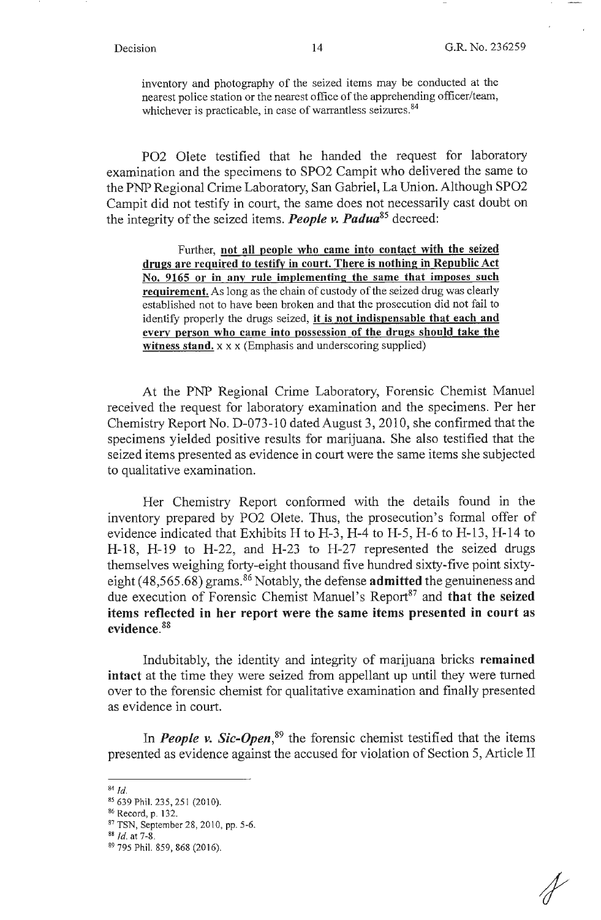inventory and photography of the seized items may be conducted at the nearest police station or the nearest office of the apprehending officer/team, whichever is practicable, in case of warrantless seizures.<sup>84</sup>

PO2 Olete testified that he handed the request for laboratory examination and the specimens to SPO2 Campit who delivered the same to the PNP Regional Crime Laboratory, San Gabriel, La Union. Although SPO2 Campit did not testify in court, the same does not necessarily cast doubt on the integrity of the seized items. *People v. Padua85* decreed:

Further, **not all people who came into contact with the seized drugs are required to testify in court. There is nothing in Republic Act No. 9165 or in any rule implementing the same that imposes such requirement.** As long as the chain of custody of the seized drug was clearly established not to have been broken and that the prosecution did not fail to identify properly the drugs seized, **it is not indispensable that each and every person who came into possession of the drugs should take the witness stand.** x x x (Emphasis and underscoring supplied)

At the PNP Regional Crime Laboratory, Forensic Chemist Manuel received the request for laboratory examination and the specimens. Per her Chemistry Report No. D-073-10 dated August 3, 2010, she confirmed that the specimens yielded positive results for marijuana. She also testified that the seized items presented as evidence in court were the same items she subjected to qualitative examination.

Her Chemistry Report confonned with the details found in the inventory prepared by PO2 Olete. Thus, the prosecution's formal offer of evidence indicated that Exhibits H to H-3, H-4 to H-5, H-6 to H-13, H-14 to H-18, H-19 to H-22, and H-23 to H-27 represented the seized drugs themselves weighing forty-eight thousand five hundred sixty-five point sixtyeight (48,565.68) grams.86 Notably, the defense **admitted** the genuineness and due execution of Forensic Chemist Manuel's Report<sup>87</sup> and **that the seized items reflected in her report were the same items presented in court as evidence.** <sup>88</sup>

Indubitably, the identity and integrity of marijuana bricks **remained intact** at the time they were seized from appellant up until they were turned over to the forensic chemist for qualitative examination and finally presented as evidence in court.

In *People v. Sic-Open*<sup>89</sup> the forensic chemist testified that the items presented as evidence against the accused for violation of Section 5, Article II

<sup>84</sup> *Id.* 

<sup>85 639</sup> Phil. 235, 251 (2010).

<sup>86</sup> Record, p. 132. 87 TSN, September 28, 2010, pp. 5-6. 88 *Id.* at 7-8. 89 795 Phil. 859,868 (2016).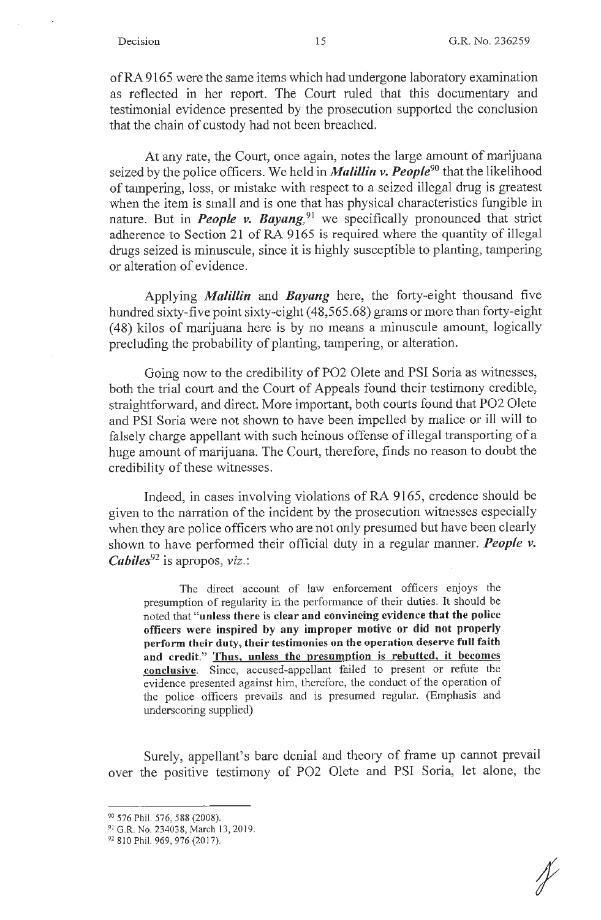of RA 9165 were the same items which had undergone laboratory examination as reflected in her report. The Court ruled that this documentary and testimonial evidence presented by the prosecution supported the conclusion that the chain of custody had not been breached.

At any rate, the Court, once again, notes the large amount of marijuana seized by the police officers. We held in *Malillin v. People90* that the likelihood of tampering, loss, or mistake with respect to a seized illegal drug is greatest when the item is small and is one that has physical characteristics fungible in nature. But in *People v. Bayang*,<sup>91</sup> we specifically pronounced that strict adherence to Section 21 of RA 9165 is required where the quantity of illegal drugs seized is minuscule, since it is highly susceptible to planting, tampering or alteration of evidence.

Applying *Mali/Lin* and *Bayang* here, the forty-eight thousand five hundred sixty-five point sixty-eight (48,565.68) grams or more than forty-eight ( 48) kilos of marijuana here is by no means a minuscule amount, logically precluding the probability of planting, tampering, or alteration.

Going now to the credibility of P02 Olete and PSI Soria as witnesses, both the trial court and the Court of Appeals found their testimony credible, straightforward, and direct. More important, both courts found that P02 Olete and PSI Soria were not shown to have been impelled by malice or ill will to falsely charge appellant with such heinous offense of illegal transporting of a huge amount of marijuana. The Court, therefore, finds no reason to doubt the credibility of these witnesses.

Indeed, in cases involving violations of RA 9165, credence should be given to the narration of the incident by the prosecution witnesses especially when they are police officers who are not only presumed but have been clearly shown to have performed their official duty in a regular manner. *People v. Cabiles***<sup>92</sup>**is apropos, *viz.:* 

The direct account of law enforcement officers enjoys the presumption of regularity in the performance of their duties. It should be noted that **"unless there is clear and convincing evidence that the police officers were inspired by any improper motive or did not properly perform their duty, their testimonies on the operation deserve full faith and credit." Thus, unless the presumption is rebutted, it becomes conclusive.** Since, accused-appellant failed to present or refute the evidence presented against him, therefore, the conduct of the operation of the police officers prevails and is presumed regular. (Emphasis and underscoring supplied)

Surely, appellant's bare denial and theory of frame up cannot prevail over the positive testimony of P02 Olete and PSI Soria, let alone, the

*f* 

<sup>90</sup> 576 Phil. 576, 588 (2008).

<sup>&</sup>lt;sup>91</sup> G.R. No. 234038, March 13, 2019.

<sup>92 810</sup> Phil. 969, 976 (2017).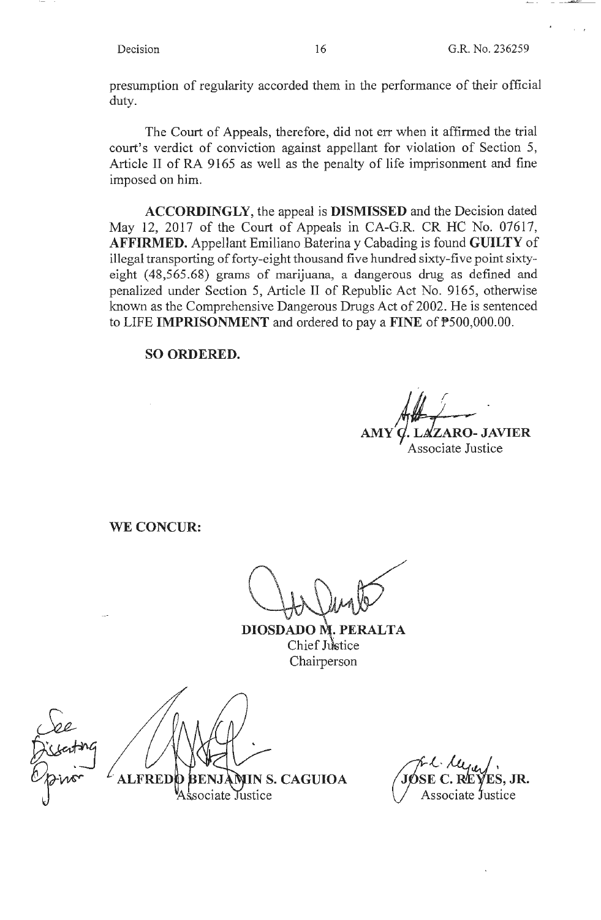presumption of regularity accorded them in the performance of their official duty.

The Court of Appeals, therefore, did not err when it affirmed the trial court's verdict of conviction against appellant for violation of Section 5, Article II of RA 9165 as well as the penalty of life imprisonment and fine imposed on him.

**ACCORDINGLY,** the appeal is **DISMISSED** and the Decision dated May 12, 2017 of the Court of Appeals in CA-G.R. CR HC No. 07617, **AFFIRMED.** Appellant Emiliano Baterina y Cabading is found **GUILTY** of illegal transporting of forty-eight thousand five hundred sixty-five point sixtyeight (48,565.68) grams of marijuana, a dangerous drug as defined and penalized under Section 5, Article II of Republic Act No. 9165, otherwise known as the Comprehensive Dangerous Drugs Act of 2002. He is sentenced to LIFE **IMPRISONMENT** and ordered to pay a **FINE** of P500,000.00.

**SO ORDERED.** 

*AMY1.~1AR;;* **JA~ER**  Associate Justice

**WE CONCUR:** 

**DIOSDADO M.P**  $\bf{ALTA}$ Chief Justice Chairperson

ALFRED Justice sociate

**IN S. CAGUIOA / JØSE C. RÆYES, JR.** Associate Justice